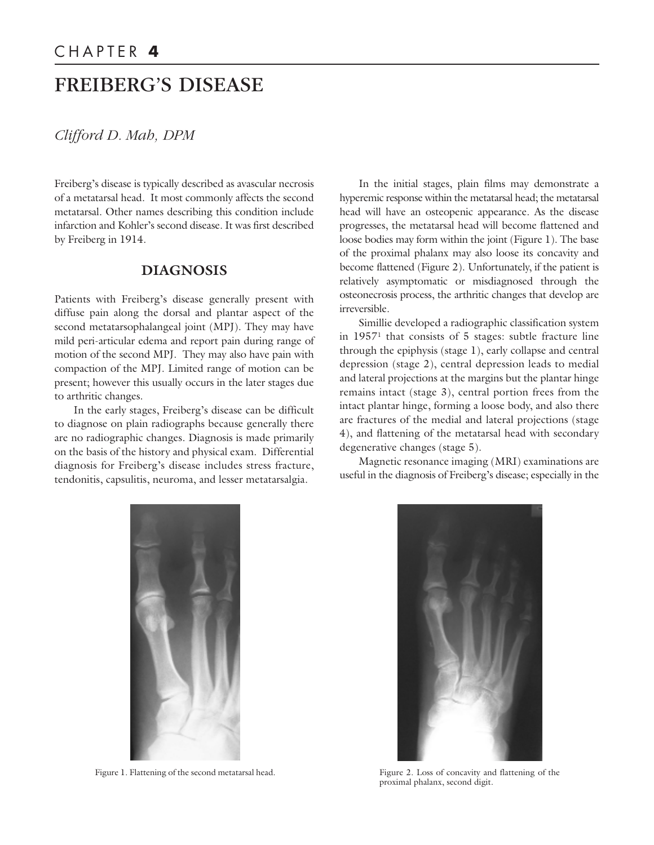# FREIBERG'S DISEASE

*Clifford D. Mah, DPM*

Freiberg's disease is typically described as avascular necrosis of a metatarsal head. It most commonly affects the second metatarsal. Other names describing this condition include infarction and Kohler's second disease. It was first described by Freiberg in 1914.

## **DIAGNOSIS**

Patients with Freiberg's disease generally present with diffuse pain along the dorsal and plantar aspect of the second metatarsophalangeal joint (MPJ). They may have mild peri-articular edema and report pain during range of motion of the second MPJ. They may also have pain with compaction of the MPJ. Limited range of motion can be present; however this usually occurs in the later stages due to arthritic changes.

In the early stages, Freiberg's disease can be difficult to diagnose on plain radiographs because generally there are no radiographic changes. Diagnosis is made primarily on the basis of the history and physical exam. Differential diagnosis for Freiberg's disease includes stress fracture, tendonitis, capsulitis, neuroma, and lesser metatarsalgia.

In the initial stages, plain films may demonstrate a hyperemic response within the metatarsal head; the metatarsal head will have an osteopenic appearance. As the disease progresses, the metatarsal head will become flattened and loose bodies may form within the joint (Figure 1). The base of the proximal phalanx may also loose its concavity and become flattened (Figure 2). Unfortunately, if the patient is relatively asymptomatic or misdiagnosed through the osteonecrosis process, the arthritic changes that develop are irreversible.

Simillie developed a radiographic classification system in 19571 that consists of 5 stages: subtle fracture line through the epiphysis (stage 1), early collapse and central depression (stage 2), central depression leads to medial and lateral projections at the margins but the plantar hinge remains intact (stage 3), central portion frees from the intact plantar hinge, forming a loose body, and also there are fractures of the medial and lateral projections (stage 4), and flattening of the metatarsal head with secondary degenerative changes (stage 5).

Magnetic resonance imaging (MRI) examinations are useful in the diagnosis of Freiberg's disease; especially in the





Figure 1. Flattening of the second metatarsal head. Figure 2. Loss of concavity and flattening of the proximal phalanx, second digit.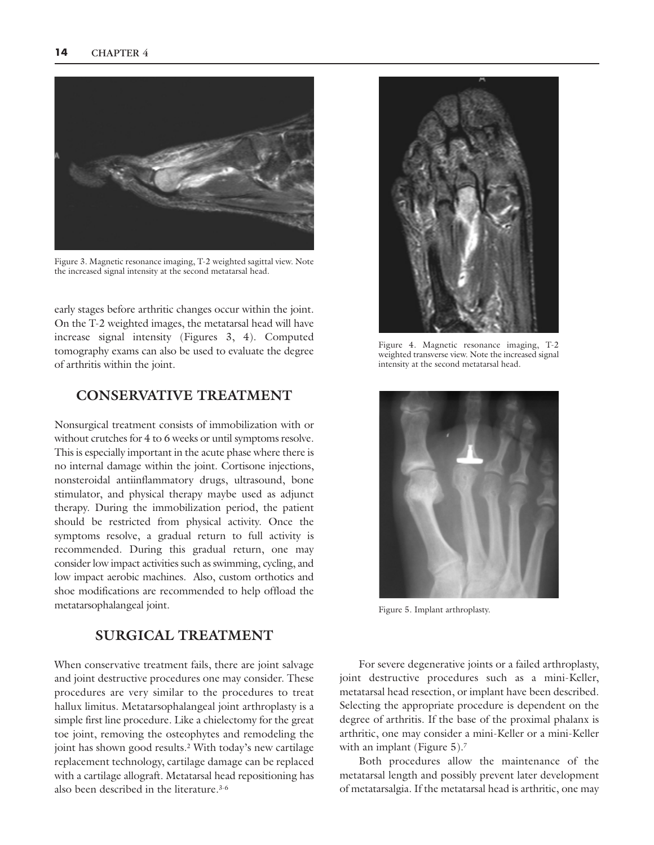

Figure 3. Magnetic resonance imaging, T-2 weighted sagittal view. Note the increased signal intensity at the second metatarsal head.

early stages before arthritic changes occur within the joint. On the T-2 weighted images, the metatarsal head will have increase signal intensity (Figures 3, 4). Computed tomography exams can also be used to evaluate the degree of arthritis within the joint.

## **CONSERVATIVE TREATMENT**

Nonsurgical treatment consists of immobilization with or without crutches for 4 to 6 weeks or until symptoms resolve. This is especially important in the acute phase where there is no internal damage within the joint. Cortisone injections, nonsteroidal antiinflammatory drugs, ultrasound, bone stimulator, and physical therapy maybe used as adjunct therapy. During the immobilization period, the patient should be restricted from physical activity. Once the symptoms resolve, a gradual return to full activity is recommended. During this gradual return, one may consider low impact activities such as swimming, cycling, and low impact aerobic machines. Also, custom orthotics and shoe modifications are recommended to help offload the metatarsophalangeal joint.

### **SURGICAL TREATMENT**

When conservative treatment fails, there are joint salvage and joint destructive procedures one may consider. These procedures are very similar to the procedures to treat hallux limitus. Metatarsophalangeal joint arthroplasty is a simple first line procedure. Like a chielectomy for the great toe joint, removing the osteophytes and remodeling the joint has shown good results. <sup>2</sup> With today's new cartilage replacement technology, cartilage damage can be replaced with a cartilage allograft. Metatarsal head repositioning has also been described in the literature. 3-6



Figure 4. Magnetic resonance imaging, T-2 weighted transverse view. Note the increased signal intensity at the second metatarsal head.



Figure 5. Implant arthroplasty.

For severe degenerative joints or a failed arthroplasty, joint destructive procedures such as a mini-Keller, metatarsal head resection, or implant have been described. Selecting the appropriate procedure is dependent on the degree of arthritis. If the base of the proximal phalanx is arthritic, one may consider a mini-Keller or a mini-Keller with an implant (Figure  $5$ ).<sup>7</sup>

Both procedures allow the maintenance of the metatarsal length and possibly prevent later development of metatarsalgia. If the metatarsal head is arthritic, one may